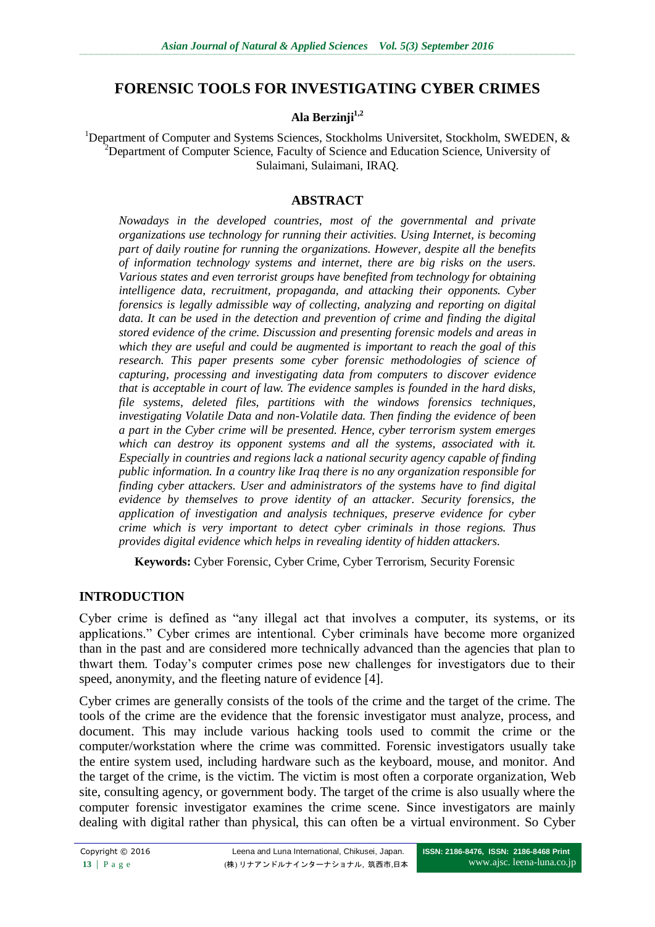# **FORENSIC TOOLS FOR INVESTIGATING CYBER CRIMES**

#### **Ala Berzinji1,2**

<sup>1</sup>Department of Computer and Systems Sciences, Stockholms Universitet, Stockholm, SWEDEN, &  $2D$ epartment of Computer Science, Faculty of Science and Education Science, University of Sulaimani, Sulaimani, IRAQ.

### **ABSTRACT**

*Nowadays in the developed countries, most of the governmental and private organizations use technology for running their activities. Using Internet, is becoming part of daily routine for running the organizations. However, despite all the benefits of information technology systems and internet, there are big risks on the users. Various states and even terrorist groups have benefited from technology for obtaining intelligence data, recruitment, propaganda, and attacking their opponents. Cyber forensics is legally admissible way of collecting, analyzing and reporting on digital data. It can be used in the detection and prevention of crime and finding the digital stored evidence of the crime. Discussion and presenting forensic models and areas in which they are useful and could be augmented is important to reach the goal of this research. This paper presents some cyber forensic methodologies of science of capturing, processing and investigating data from computers to discover evidence that is acceptable in court of law. The evidence samples is founded in the hard disks, file systems, deleted files, partitions with the windows forensics techniques, investigating Volatile Data and non-Volatile data. Then finding the evidence of been a part in the Cyber crime will be presented. Hence, cyber terrorism system emerges*  which can destroy its opponent systems and all the systems, associated with it. *Especially in countries and regions lack a national security agency capable of finding public information. In a country like Iraq there is no any organization responsible for finding cyber attackers. User and administrators of the systems have to find digital evidence by themselves to prove identity of an attacker. Security forensics, the application of investigation and analysis techniques, preserve evidence for cyber crime which is very important to detect cyber criminals in those regions. Thus provides digital evidence which helps in revealing identity of hidden attackers.* 

**Keywords:** Cyber Forensic, Cyber Crime, Cyber Terrorism, Security Forensic

# **INTRODUCTION**

Cyber crime is defined as "any illegal act that involves a computer, its systems, or its applications." Cyber crimes are intentional. Cyber criminals have become more organized than in the past and are considered more technically advanced than the agencies that plan to thwart them. Today's computer crimes pose new challenges for investigators due to their speed, anonymity, and the fleeting nature of evidence [4].

Cyber crimes are generally consists of the tools of the crime and the target of the crime. The tools of the crime are the evidence that the forensic investigator must analyze, process, and document. This may include various hacking tools used to commit the crime or the computer/workstation where the crime was committed. Forensic investigators usually take the entire system used, including hardware such as the keyboard, mouse, and monitor. And the target of the crime, is the victim. The victim is most often a corporate organization, Web site, consulting agency, or government body. The target of the crime is also usually where the computer forensic investigator examines the crime scene. Since investigators are mainly dealing with digital rather than physical, this can often be a virtual environment. So Cyber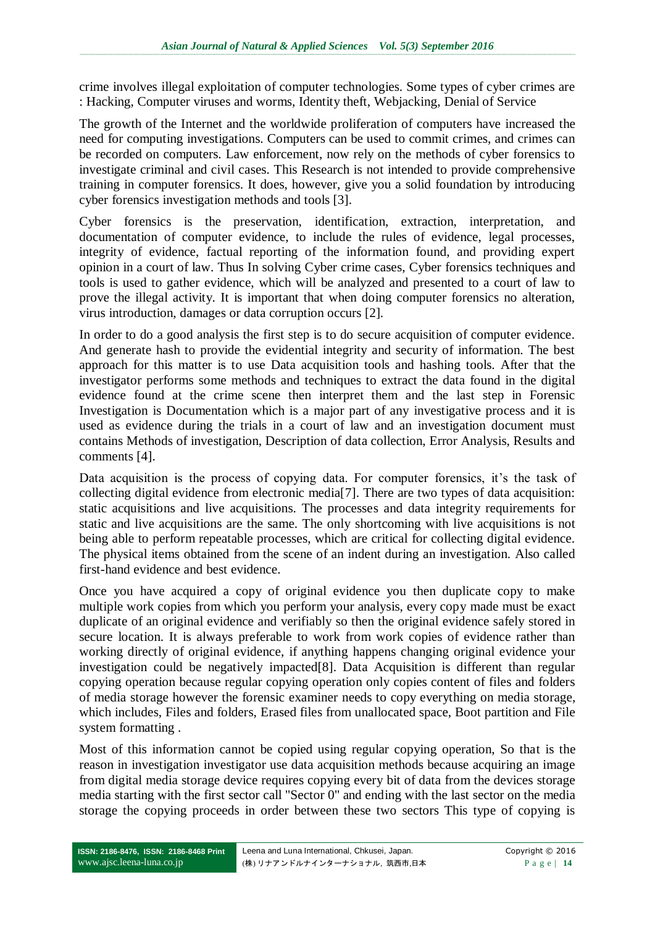crime involves illegal exploitation of computer technologies. Some types of cyber crimes are : Hacking, Computer viruses and worms, Identity theft, Webjacking, Denial of Service

The growth of the Internet and the worldwide proliferation of computers have increased the need for computing investigations. Computers can be used to commit crimes, and crimes can be recorded on computers. Law enforcement, now rely on the methods of cyber forensics to investigate criminal and civil cases. This Research is not intended to provide comprehensive training in computer forensics. It does, however, give you a solid foundation by introducing cyber forensics investigation methods and tools [3].

Cyber forensics is the preservation, identification, extraction, interpretation, and documentation of computer evidence, to include the rules of evidence, legal processes, integrity of evidence, factual reporting of the information found, and providing expert opinion in a court of law. Thus In solving Cyber crime cases, Cyber forensics techniques and tools is used to gather evidence, which will be analyzed and presented to a court of law to prove the illegal activity. It is important that when doing computer forensics no alteration, virus introduction, damages or data corruption occurs [2].

In order to do a good analysis the first step is to do secure acquisition of computer evidence. And generate hash to provide the evidential integrity and security of information. The best approach for this matter is to use Data acquisition tools and hashing tools. After that the investigator performs some methods and techniques to extract the data found in the digital evidence found at the crime scene then interpret them and the last step in Forensic Investigation is Documentation which is a major part of any investigative process and it is used as evidence during the trials in a court of law and an investigation document must contains Methods of investigation, Description of data collection, Error Analysis, Results and comments [4].

Data acquisition is the process of copying data. For computer forensics, it's the task of collecting digital evidence from electronic media[7]. There are two types of data acquisition: static acquisitions and live acquisitions. The processes and data integrity requirements for static and live acquisitions are the same. The only shortcoming with live acquisitions is not being able to perform repeatable processes, which are critical for collecting digital evidence. The physical items obtained from the scene of an indent during an investigation. Also called first-hand evidence and best evidence.

Once you have acquired a copy of original evidence you then duplicate copy to make multiple work copies from which you perform your analysis, every copy made must be exact duplicate of an original evidence and verifiably so then the original evidence safely stored in secure location. It is always preferable to work from work copies of evidence rather than working directly of original evidence, if anything happens changing original evidence your investigation could be negatively impacted[8]. Data Acquisition is different than regular copying operation because regular copying operation only copies content of files and folders of media storage however the forensic examiner needs to copy everything on media storage, which includes, Files and folders, Erased files from unallocated space, Boot partition and File system formatting .

Most of this information cannot be copied using regular copying operation, So that is the reason in investigation investigator use data acquisition methods because acquiring an image from digital media storage device requires copying every bit of data from the devices storage media starting with the first sector call "Sector 0" and ending with the last sector on the media storage the copying proceeds in order between these two sectors This type of copying is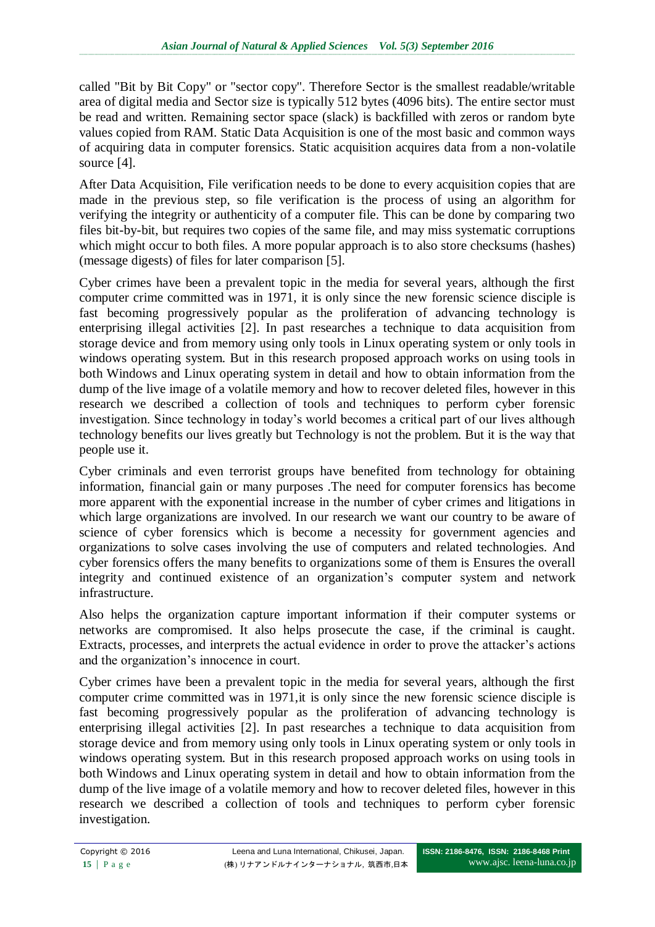called "Bit by Bit Copy" or "sector copy". Therefore Sector is the smallest readable/writable area of digital media and Sector size is typically 512 bytes (4096 bits). The entire sector must be read and written. Remaining sector space (slack) is backfilled with zeros or random byte values copied from RAM. Static Data Acquisition is one of the most basic and common ways of acquiring data in computer forensics. Static acquisition acquires data from a non-volatile source [4].

After Data Acquisition, File verification needs to be done to every acquisition copies that are made in the previous step, so file verification is the process of using an algorithm for verifying the integrity or authenticity of a computer file. This can be done by comparing two files bit-by-bit, but requires two copies of the same file, and may miss systematic corruptions which might occur to both files. A more popular approach is to also store checksums (hashes) (message digests) of files for later comparison [5].

Cyber crimes have been a prevalent topic in the media for several years, although the first computer crime committed was in 1971, it is only since the new forensic science disciple is fast becoming progressively popular as the proliferation of advancing technology is enterprising illegal activities [2]. In past researches a technique to data acquisition from storage device and from memory using only tools in Linux operating system or only tools in windows operating system. But in this research proposed approach works on using tools in both Windows and Linux operating system in detail and how to obtain information from the dump of the live image of a volatile memory and how to recover deleted files, however in this research we described a collection of tools and techniques to perform cyber forensic investigation. Since technology in today's world becomes a critical part of our lives although technology benefits our lives greatly but Technology is not the problem. But it is the way that people use it.

Cyber criminals and even terrorist groups have benefited from technology for obtaining information, financial gain or many purposes .The need for computer forensics has become more apparent with the exponential increase in the number of cyber crimes and litigations in which large organizations are involved. In our research we want our country to be aware of science of cyber forensics which is become a necessity for government agencies and organizations to solve cases involving the use of computers and related technologies. And cyber forensics offers the many benefits to organizations some of them is Ensures the overall integrity and continued existence of an organization's computer system and network infrastructure.

Also helps the organization capture important information if their computer systems or networks are compromised. It also helps prosecute the case, if the criminal is caught. Extracts, processes, and interprets the actual evidence in order to prove the attacker's actions and the organization's innocence in court.

Cyber crimes have been a prevalent topic in the media for several years, although the first computer crime committed was in 1971,it is only since the new forensic science disciple is fast becoming progressively popular as the proliferation of advancing technology is enterprising illegal activities [2]. In past researches a technique to data acquisition from storage device and from memory using only tools in Linux operating system or only tools in windows operating system. But in this research proposed approach works on using tools in both Windows and Linux operating system in detail and how to obtain information from the dump of the live image of a volatile memory and how to recover deleted files, however in this research we described a collection of tools and techniques to perform cyber forensic investigation.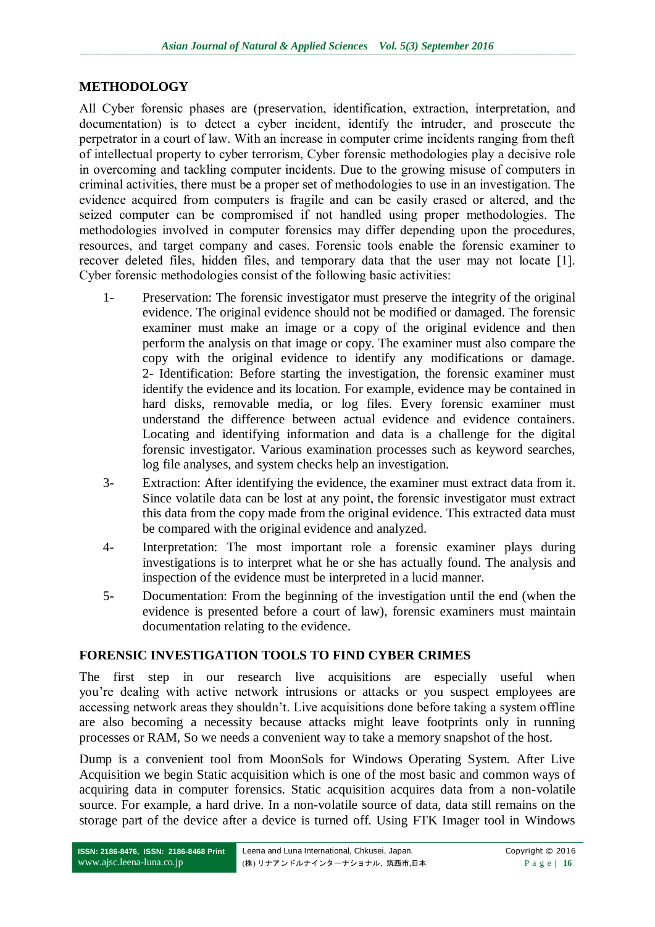#### **METHODOLOGY**

All Cyber forensic phases are (preservation, identification, extraction, interpretation, and documentation) is to detect a cyber incident, identify the intruder, and prosecute the perpetrator in a court of law. With an increase in computer crime incidents ranging from theft of intellectual property to cyber terrorism, Cyber forensic methodologies play a decisive role in overcoming and tackling computer incidents. Due to the growing misuse of computers in criminal activities, there must be a proper set of methodologies to use in an investigation. The evidence acquired from computers is fragile and can be easily erased or altered, and the seized computer can be compromised if not handled using proper methodologies. The methodologies involved in computer forensics may differ depending upon the procedures, resources, and target company and cases. Forensic tools enable the forensic examiner to recover deleted files, hidden files, and temporary data that the user may not locate [1]. Cyber forensic methodologies consist of the following basic activities:

- 1- Preservation: The forensic investigator must preserve the integrity of the original evidence. The original evidence should not be modified or damaged. The forensic examiner must make an image or a copy of the original evidence and then perform the analysis on that image or copy. The examiner must also compare the copy with the original evidence to identify any modifications or damage. 2- Identification: Before starting the investigation, the forensic examiner must identify the evidence and its location. For example, evidence may be contained in hard disks, removable media, or log files. Every forensic examiner must understand the difference between actual evidence and evidence containers. Locating and identifying information and data is a challenge for the digital forensic investigator. Various examination processes such as keyword searches, log file analyses, and system checks help an investigation.
- 3- Extraction: After identifying the evidence, the examiner must extract data from it. Since volatile data can be lost at any point, the forensic investigator must extract this data from the copy made from the original evidence. This extracted data must be compared with the original evidence and analyzed.
- 4- Interpretation: The most important role a forensic examiner plays during investigations is to interpret what he or she has actually found. The analysis and inspection of the evidence must be interpreted in a lucid manner.
- 5- Documentation: From the beginning of the investigation until the end (when the evidence is presented before a court of law), forensic examiners must maintain documentation relating to the evidence.

### **FORENSIC INVESTIGATION TOOLS TO FIND CYBER CRIMES**

The first step in our research live acquisitions are especially useful when you're dealing with active network intrusions or attacks or you suspect employees are accessing network areas they shouldn't. Live acquisitions done before taking a system offline are also becoming a necessity because attacks might leave footprints only in running processes or RAM, So we needs a convenient way to take a memory snapshot of the host.

Dump is a convenient tool from MoonSols for Windows Operating System. After Live Acquisition we begin Static acquisition which is one of the most basic and common ways of acquiring data in computer forensics. Static acquisition acquires data from a non-volatile source. For example, a hard drive. In a non-volatile source of data, data still remains on the storage part of the device after a device is turned off. Using FTK Imager tool in Windows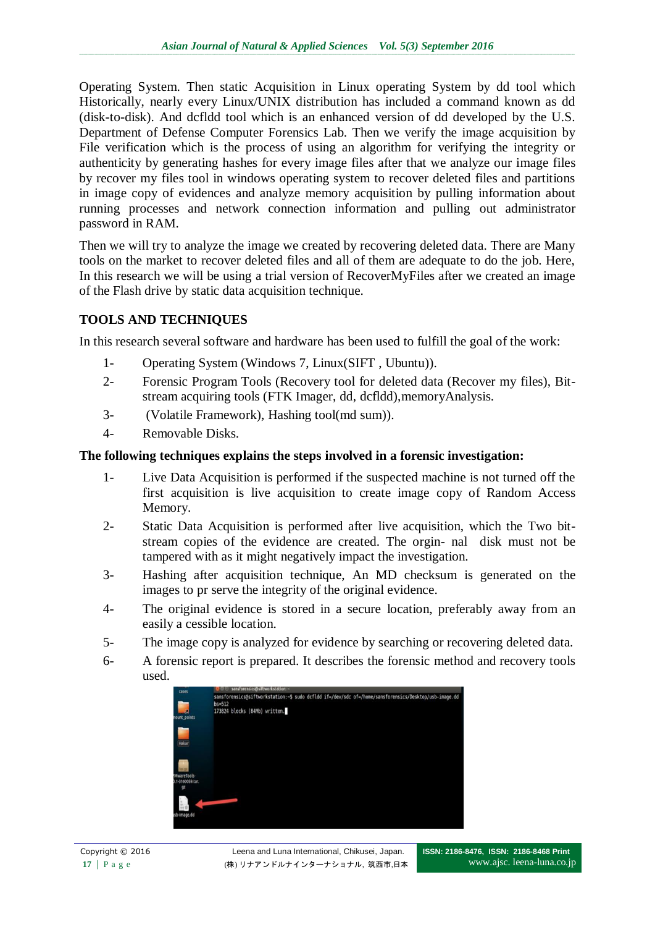Operating System. Then static Acquisition in Linux operating System by dd tool which Historically, nearly every Linux/UNIX distribution has included a command known as dd (disk-to-disk). And dcfldd tool which is an enhanced version of dd developed by the U.S. Department of Defense Computer Forensics Lab. Then we verify the image acquisition by File verification which is the process of using an algorithm for verifying the integrity or authenticity by generating hashes for every image files after that we analyze our image files by recover my files tool in windows operating system to recover deleted files and partitions in image copy of evidences and analyze memory acquisition by pulling information about running processes and network connection information and pulling out administrator password in RAM.

Then we will try to analyze the image we created by recovering deleted data. There are Many tools on the market to recover deleted files and all of them are adequate to do the job. Here, In this research we will be using a trial version of RecoverMyFiles after we created an image of the Flash drive by static data acquisition technique.

# **TOOLS AND TECHNIQUES**

In this research several software and hardware has been used to fulfill the goal of the work:

- 1- Operating System (Windows 7, Linux(SIFT , Ubuntu)).
- 2- Forensic Program Tools (Recovery tool for deleted data (Recover my files), Bitstream acquiring tools (FTK Imager, dd, dcfldd),memoryAnalysis.
- 3- (Volatile Framework), Hashing tool(md sum)).
- 4- Removable Disks.

## **The following techniques explains the steps involved in a forensic investigation:**

- 1- Live Data Acquisition is performed if the suspected machine is not turned off the first acquisition is live acquisition to create image copy of Random Access Memory.
- 2- Static Data Acquisition is performed after live acquisition, which the Two bitstream copies of the evidence are created. The orgin- nal disk must not be tampered with as it might negatively impact the investigation.
- 3- Hashing after acquisition technique, An MD checksum is generated on the images to pr serve the integrity of the original evidence.
- 4- The original evidence is stored in a secure location, preferably away from an easily a cessible location.
- 5- The image copy is analyzed for evidence by searching or recovering deleted data.
- 6- A forensic report is prepared. It describes the forensic method and recovery tools used.

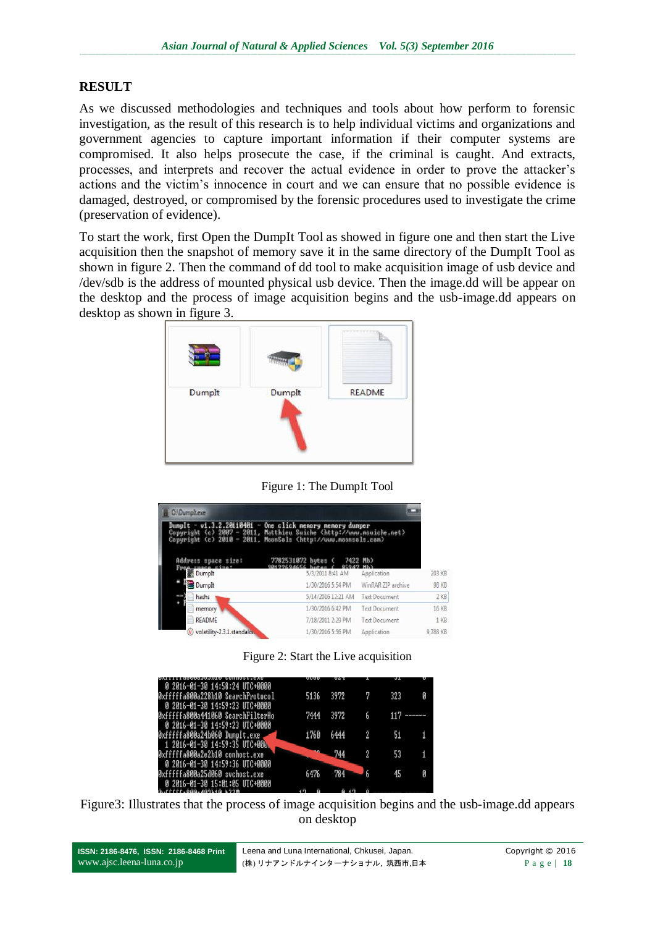## **RESULT**

As we discussed methodologies and techniques and tools about how perform to forensic investigation, as the result of this research is to help individual victims and organizations and government agencies to capture important information if their computer systems are compromised. It also helps prosecute the case, if the criminal is caught. And extracts, processes, and interprets and recover the actual evidence in order to prove the attacker's actions and the victim's innocence in court and we can ensure that no possible evidence is damaged, destroyed, or compromised by the forensic procedures used to investigate the crime (preservation of evidence).

To start the work, first Open the DumpIt Tool as showed in figure one and then start the Live acquisition then the snapshot of memory save it in the same directory of the DumpIt Tool as shown in figure 2. Then the command of dd tool to make acquisition image of usb device and /dev/sdb is the address of mounted physical usb device. Then the image.dd will be appear on the desktop and the process of image acquisition begins and the usb-image.dd appears on desktop as shown in figure 3.



Figure 1: The DumpIt Tool

| <b>O:\Dumplt.exe</b><br>$Dunplt - v1.3.2.20110401 - One click nearby nearby$<br>Copyright (c) 2007 - 2011, Matthieu Suiche (http://www.nsuiche.net><br>Copyright (c) 2010 - 2011, MoonSols (http://www.noonsols.com) |                             |                  |                    |                      |              |
|----------------------------------------------------------------------------------------------------------------------------------------------------------------------------------------------------------------------|-----------------------------|------------------|--------------------|----------------------|--------------|
| Address space size:                                                                                                                                                                                                  | 7782531872 hutes ( 7422 Mb) |                  |                    |                      |              |
| <b>Dumplt</b>                                                                                                                                                                                                        |                             | 5/3/2011 8:41 AM |                    | Application          | 203 KB       |
| Dumplt                                                                                                                                                                                                               |                             |                  | 1/30/2016 5:54 PM  | WinRAR ZIP archive   | 98 KB        |
| hashs                                                                                                                                                                                                                |                             |                  | 5/14/2016 12:21 AM | <b>Text Document</b> | $2$ KB       |
| memory                                                                                                                                                                                                               |                             |                  | 1/30/2016 6:42 PM  | <b>Text Document</b> | <b>16 KB</b> |
| <b>README</b>                                                                                                                                                                                                        |                             |                  | 7/18/2011 2:29 PM  | <b>Text Document</b> | 1 KB         |
| volatility-2.3.1.standalor.                                                                                                                                                                                          |                             |                  | 1/30/2016 5:56 PM  | Application          | 9,788 KB     |

Figure 2: Start the Live acquisition

| 0 2016-01-30 14:58:24 UTC+0000    |      |      |   |     |  |
|-----------------------------------|------|------|---|-----|--|
| 0xfffffa800a228b10 SearchProtocol | 5136 | 3972 |   | 323 |  |
| 0 2016-01-30 14:59:23 UTC+0000    |      |      |   |     |  |
| 0xfffffa800a441060 SearchFilterHo | 7444 | 3972 | 6 |     |  |
| 0 2016-01-30 14:59:23 UTC+0000    |      |      |   |     |  |
|                                   |      |      |   |     |  |
| 0xfffffa800a24b060 DumpIt.exe     | 1760 | 6444 |   |     |  |
| 1 2016-01-30 14:59:35 UTC+000     |      |      |   |     |  |
| Øxfffffa800a2e2b10 conhost.exe    |      | 744  |   |     |  |
| 0 2016-01-30 14:59:36 UTC+0000    |      |      |   |     |  |
| 0xfffffa800a25d060 suchost.exe    | 6476 | 784  |   |     |  |
| 0 2016-01-30 15:01:05 UTC+0000    |      |      |   |     |  |
| ,                                 |      |      |   |     |  |

Figure3: Illustrates that the process of image acquisition begins and the usb-image.dd appears on desktop

| ISSN: 2186-8476, ISSN: 2186-8468 Print | Leena and Luna International, Chkusei, Japan. |
|----------------------------------------|-----------------------------------------------|
| www.ajsc.leena-luna.co.jp              | (株)リナアンドルナインターナショナル, 筑西市,日本                   |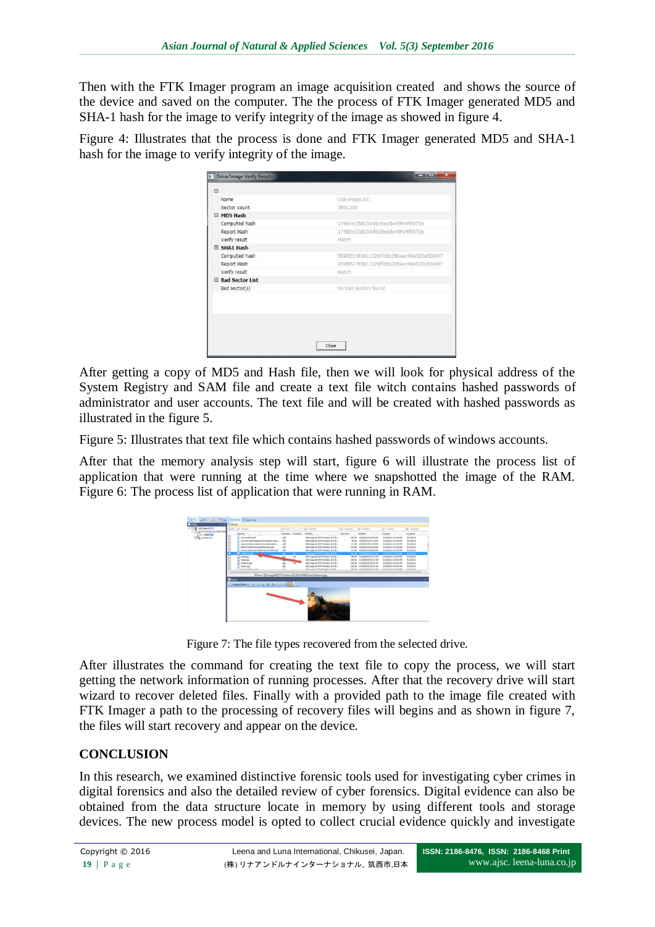Then with the FTK Imager program an image acquisition created and shows the source of the device and saved on the computer. The the process of FTK Imager generated MD5 and SHA-1 hash for the image to verify integrity of the image as showed in figure 4.

Figure 4: Illustrates that the process is done and FTK Imager generated MD5 and SHA-1 hash for the image to verify integrity of the image.

| $\Box$          |                                          |
|-----------------|------------------------------------------|
| Name            | USB-image.001                            |
| Sector count    | 3891200                                  |
| E MD5 Hash      |                                          |
| Computed hash   | 17465e1fa82b04b36edde49fe4f897bb         |
| Report Hash     | 17465e1fa82b04b36edde49fe4f897bb         |
| Verify result   | Match                                    |
| SHA1 Hash       |                                          |
| Computed hash   | 859f8519fd61c326ffdbb39baec96e920e5b06f7 |
| Report Hash     | 859f8519fd61c326ffdbb39baec96e920e5b06f7 |
| Verify result   | Match                                    |
| Bad Sector List |                                          |
| Bad sector(s)   | No bad sectors found                     |
|                 |                                          |
|                 |                                          |
|                 |                                          |

After getting a copy of MD5 and Hash file, then we will look for physical address of the System Registry and SAM file and create a text file witch contains hashed passwords of administrator and user accounts. The text file and will be created with hashed passwords as illustrated in the figure 5.

Figure 5: Illustrates that text file which contains hashed passwords of windows accounts.

After that the memory analysis step will start, figure 6 will illustrate the process list of application that were running at the time where we snapshotted the image of the RAM. Figure 6: The process list of application that were running in RAM.



Figure 7: The file types recovered from the selected drive.

After illustrates the command for creating the text file to copy the process, we will start getting the network information of running processes. After that the recovery drive will start wizard to recover deleted files. Finally with a provided path to the image file created with FTK Imager a path to the processing of recovery files will begins and as shown in figure 7, the files will start recovery and appear on the device.

### **CONCLUSION**

In this research, we examined distinctive forensic tools used for investigating cyber crimes in digital forensics and also the detailed review of cyber forensics. Digital evidence can also be obtained from the data structure locate in memory by using different tools and storage devices. The new process model is opted to collect crucial evidence quickly and investigate